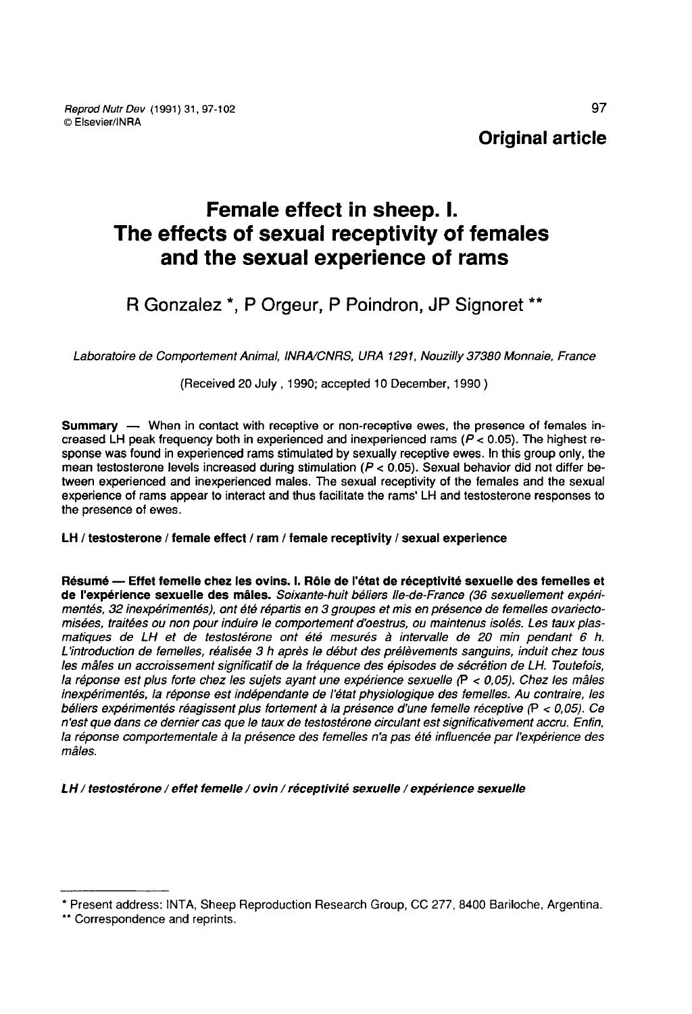# Female effect in sheep. I. The effects of sexual receptivity of females and the sexual experience of rams

R Gonzalez \*, P Orgeur, P Poindron, JP Signoret \*\*

Laboratoire de Comportement Animal, INRAlCNRS, URA 1291, Nouzilly 37380 Monnaie, France

(Received 20 July , 1990; accepted 10 December, 1990 )

Summary — When in contact with receptive or non-receptive ewes, the presence of females increased LH peak frequency both in experienced and inexperienced rams ( $P < 0.05$ ). The highest response was found in experienced rams stimulated by sexually receptive ewes. In this group only, the mean testosterone levels increased during stimulation ( $P < 0.05$ ). Sexual behavior did not differ between experienced and inexperienced males. The sexual receptivity of the females and the sexual experience of rams appear to interact and thus facilitate the rams' LH and testosterone responses to the presence of ewes.

# LH / testosterone / female effect / ram / female receptivity / sexual experience

Résumé ― Effet femelle chez les ovins. 1. Rôle de l'état de réceptivité sexuelle des femelles et de l'expérience sexuelle des mâles. Soixante-huit béliers lie-de-France (36 sexuellement expérimentés, 32 inexpérimentés), ont été répartis en 3 groupes et mis en présence de femelles ovariectomisées, traitées ou non pour induire le comportement d'oestrus, ou maintenus isolés. Les taux plasmatiques de LH et de testostérone ont été mesurés à intervalle de 20 min pendant 6 h. L'introduction de femelles, réalisée 3 h après le début des prélèvements sanguins, induit chez tous les mâles un accroissement significatif de la fréquence des épisodes de sécrétion de LH. Toutefois, la réponse est plus forte chez les sujets ayant une expérience sexuelle  $(P < 0.05)$ . Chez les mâles inexpérimentés, la réponse est indépendante de l'état physiologique des femelles. Au contraire, les béliers expérimentés réagissent plus fortement à la présence d'une femelle réceptive (P < 0,05). Ce n'est que dans ce dernier cas que le taux de testostérone circulant est significativement accru. Enfin, la réponse comportementale à la présence des femelles n'a pas été influencée par l'expérience des mâles.

LH / testostérone / effet femelle / ovin / réceptivité sexuelle / expérience sexuelle

<sup>\*</sup> Present address: INTA, Sheep Reproduction Research Group, CC 277, 8400 Bariloche, Argentina.<br>\*\* Correspondence and reprints.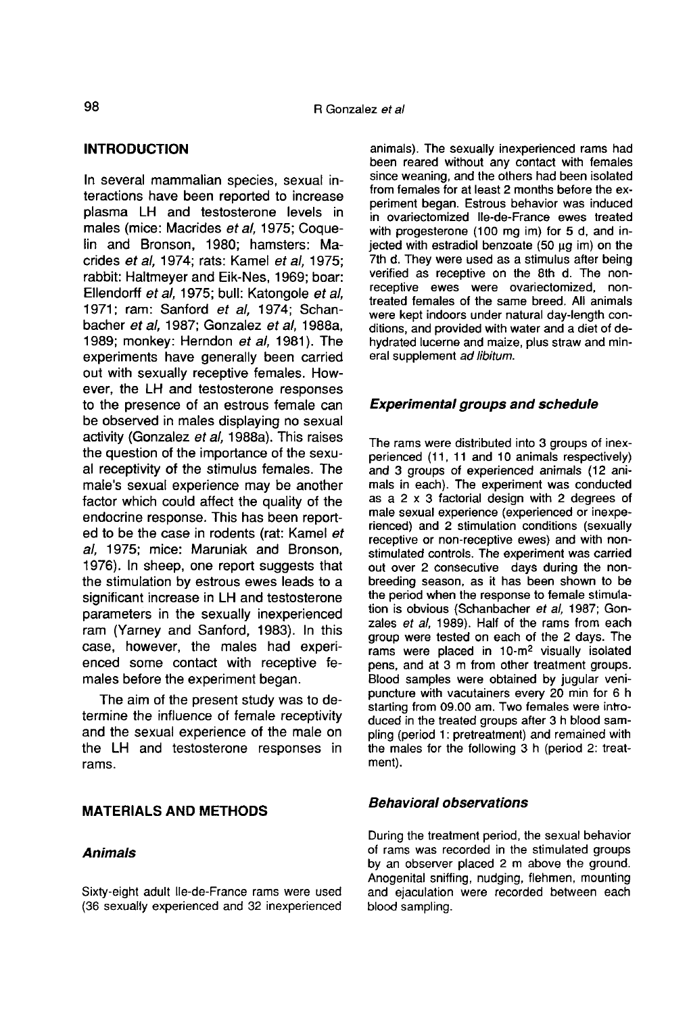# INTRODUCTION

In several mammalian species, sexual interactions have been reported to increase plasma LH and testosterone levels in males (mice: Macrides et al, 1975; Coquelin and Bronson, 1980; hamsters: Macrides et al, 1974; rats: Kamel et al, 1975; rabbit: Haltmeyer and Eik-Nes, 1969; boar: Ellendorff et al, 1975; bull: Katongole et al, 1971; ram: Sanford et al. 1974; Schanbacher et al, 1987; Gonzalez et al, 1988a, 1989; monkey: Herndon et al, 1981). The experiments have generally been carried out with sexually receptive females. However, the LH and testosterone responses to the presence of an estrous female can be observed in males displaying no sexual activity (Gonzalez et al, 1988a). This raises the question of the importance of the sexual receptivity of the stimulus females. The male's sexual experience may be another factor which could affect the quality of the endocrine response. This has been reported to be the case in rodents (rat: Kamel et al, 1975; mice: Maruniak and Bronson, 1976). In sheep, one report suggests that the stimulation by estrous ewes leads to a significant increase in LH and testosterone parameters in the sexually inexperienced ram (Yarney and Sanford, 1983). In this case, however, the males had experienced some contact with receptive females before the experiment began.

The aim of the present study was to determine the influence of female receptivity and the sexual experience of the male on the LH and testosterone responses in rams.

## MATERIALS AND METHODS

## Animals

Sixty-eight adult Ile-de-France rams were used (36 sexually experienced and 32 inexperienced animals). The sexually inexperienced rams had been reared without any contact with females since weaning, and the others had been isolated from females for at least 2 months before the experiment began. Estrous behavior was induced in ovariectomized Ile-de-France ewes treated with progesterone (100 mg im) for 5 d, and injected with estradiol benzoate (50  $\mu$ g im) on the 7th d. They were used as a stimulus after being verified as receptive on the 8th d. The nonreceptive ewes were ovariectomized, nontreated females of the same breed. All animals were kept indoors under natural day-length conditions, and provided with water and a diet of dehydrated lucerne and maize, plus straw and mineral supplement ad libitum.

## Experimental groups and schedule

The rams were distributed into 3 groups of inexperienced (11, 11 and 10 animals respectively) and 3 groups of experienced animals (12 animals in each). The experiment was conducted as a 2 x 3 factorial design with 2 degrees of male sexual experience (experienced or inexperienced) and 2 stimulation conditions (sexually receptive or non-receptive ewes) and with nonstimulated controls. The experiment was carried out over 2 consecutive days during the nonbreeding season, as it has been shown to be the period when the response to female stimulation is obvious (Schanbacher et al, 1987; Gonzales et al. 1989). Half of the rams from each group were tested on each of the 2 days. The  $rams$  were placed in 10- $m<sup>2</sup>$  visually isolated pens, and at 3 m from other treatment groups. Blood samples were obtained by jugular venipuncture with vacutainers every 20 min for 6 h starting from 09.00 am. Two females were introduced in the treated groups after 3 h blood sampling (period 1: pretreatment) and remained with the males for the following 3 h (period 2: treatment).

## Behavioral observations

During the treatment period, the sexual behavior of rams was recorded in the stimulated groups by an observer placed 2 m above the ground. Anogenital sniffing, nudging, flehmen, mounting and ejaculation were recorded between each blood sampling.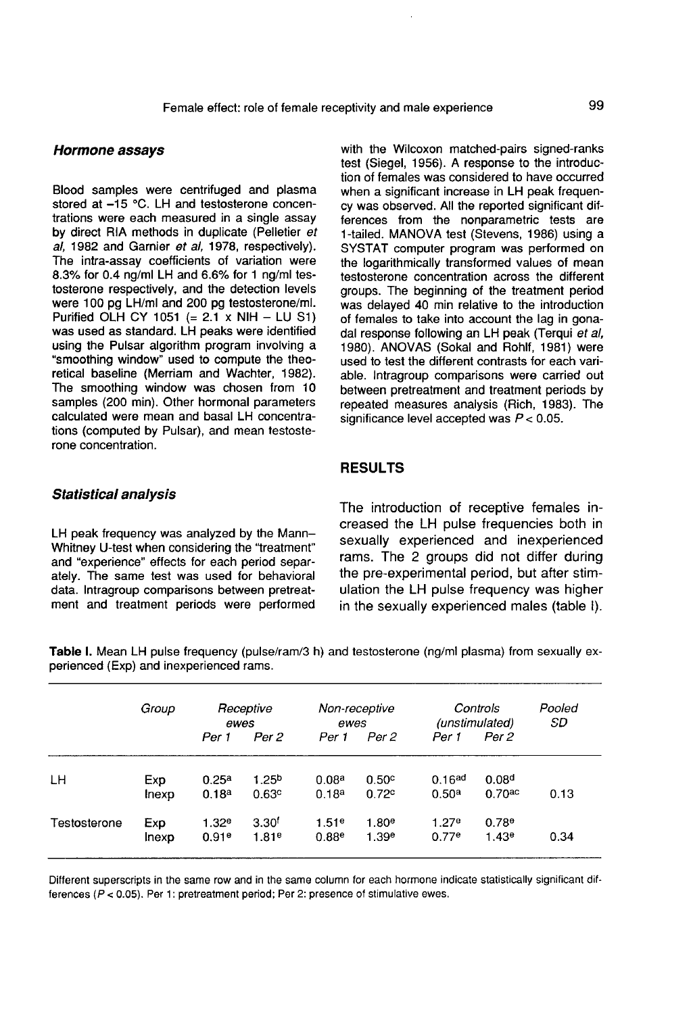#### Hormone assays

Blood samples were centrifuged and plasma stored at -15 °C. LH and testosterone concentrations were each measured in a single assay by direct RIA methods in duplicate (Pelletier et al, 1982 and Garnier at al, 1978, respectively). The intra-assay coefficients of variation were 8.3% for 0.4 ng/ml LH and 6.6% for 1 ng/ml testosterone respectively, and the detection levels were 100 pg LH/ml and 200 pg testosterone/ml. Purified OLH CY 1051 (=  $2.1 \times$  NIH - LU S1) was used as standard. LH peaks were identified using the Pulsar algorithm program involving a "smoothing window" used to compute the theoretical baseline (Merriam and Wachter, 1982). The smoothing window was chosen from 10 samples (200 min). Other hormonal parameters calculated were mean and basal LH concentrations (computed by Pulsar), and mean testosterone concentration.

with the Wilcoxon matched-pairs signed-ranks test (Siegel, 1956). A response to the introduction of females was considered to have occurred when a significant increase in LH peak frequency was observed. All the reported significant differences from the nonparametric tests are 1-tailed. MANOVA test (Stevens, 1986) using a SYSTAT computer program was performed on the logarithmically transformed values of mean testosterone concentration across the different groups. The beginning of the treatment period was delayed 40 min relative to the introduction of females to take into account the lag in gonadal response following an LH peak (Terqui et al, 1980). ANOVAS (Sokal and Rohlf, 1981) were used to test the different contrasts for each variable. Intragroup comparisons were carried out between pretreatment and treatment periods by repeated measures analysis (Rich, 1983). The significance level accepted was  $P < 0.05$ .

# RESULTS

# Statistical analysis

LH peak frequency was analyzed by the Mann-Whitney U-test when considering the "treatment" and "experience" effects for each period separately. The same test was used for behavioral data. lntragroup comparisons between pretreat ment and treatment periods were performed The introduction of receptive females increased the LH pulse frequencies both in sexually experienced and inexperienced rams. The 2 groups did not differ during the pre-experimental period, but after stimulation the LH pulse frequency was higher in the sexually experienced males (table 1).

| perienced (Exp) and inexperienced rams. |              |                            |                            |                            |                                        |                                         |                                         |      |  |
|-----------------------------------------|--------------|----------------------------|----------------------------|----------------------------|----------------------------------------|-----------------------------------------|-----------------------------------------|------|--|
|                                         | Group        |                            | Receptive<br>ewes          |                            | Non-receptive<br>ewes                  |                                         | Controls<br>(unstimulated)              |      |  |
|                                         |              | Per 1                      | Per 2                      | Per 1                      | Per 2                                  | Per 1                                   | Per 2                                   |      |  |
| LН                                      | Exp<br>Inexp | 0.25 <sup>a</sup><br>0.18a | 1.25 <sup>b</sup><br>0.63c | 0.08 <sup>a</sup><br>0.18a | 0.50c<br>0.72c                         | 0.16 <sup>ad</sup><br>0.50 <sup>a</sup> | 0.08 <sup>d</sup><br>0.70 <sup>ac</sup> | 0.13 |  |
| Testosterone                            | Exp<br>lnexp | 1.32e<br>0.91e             | 3.30 <sup>t</sup><br>1.81e | 1.51e<br>0.88e             | 1.80 <sup>e</sup><br>1.39 <sup>e</sup> | 1.27e<br>0.77e                          | 0.78e<br>1.43e                          | 0.34 |  |

Table I. Mean LH pulse frequency (pulse/ram/3 h) and testosterone (ng/ml plasma) from sexually ex-

Different superscripts in the same row and in the same column for each hormone indicate statistically significant differences  $(P < 0.05)$ . Per 1: pretreatment period: Per 2: presence of stimulative ewes.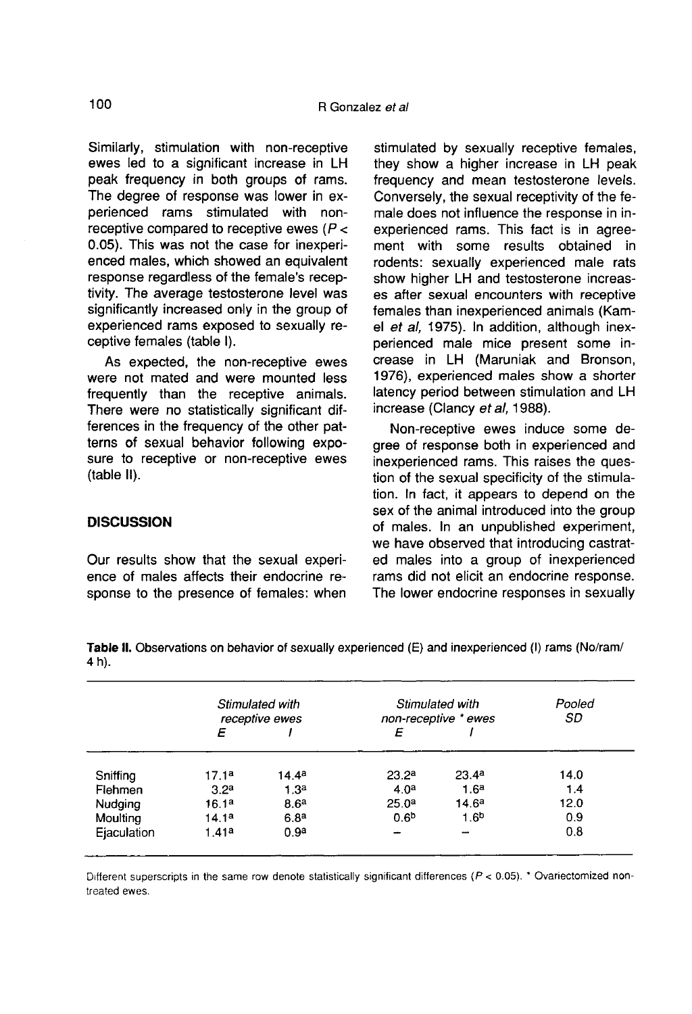Similarly, stimulation with non-receptive ewes led to a significant increase in LH peak frequency in both groups of rams. The degree of response was lower in experienced rams stimulated with nonreceptive compared to receptive ewes  $(P <$ 0.05). This was not the case for inexperienced males, which showed an equivalent response regardless of the female's receptivity. The average testosterone level was significantly increased only in the group of experienced rams exposed to sexually receptive females (table I).

As expected, the non-receptive ewes were not mated and were mounted less frequently than the receptive animals. There were no statistically significant differences in the frequency of the other patterns of sexual behavior following exposure to receptive or non-receptive ewes (table II).

## **DISCUSSION**

Our results show that the sexual experi ence of males affects their endocrine response to the presence of females: when

stimulated by sexually receptive females, they show a higher increase in LH peak frequency and mean testosterone levels. Conversely, the sexual receptivity of the female does not influence the response in inexperienced rams. This fact is in agreement with some results obtained in rodents: sexually experienced male rats show higher LH and testosterone increases after sexual encounters with receptive females than inexperienced animals (Kamel et al, 1975). In addition, although inexperienced male mice present some increase in LH (Maruniak and Bronson, 1976), experienced males show a shorter latency period between stimulation and LH increase (Clancy et al, 1988).

Non-receptive ewes induce some degree of response both in experienced and inexperienced rams. This raises the question of the sexual specificity of the stimulation. In fact, it appears to depend on the sex of the animal introduced into the group of males. In an unpublished experiment, we have observed that introducing castrated males into a group of inexperienced rams did not elicit an endocrine response. The lower endocrine responses in sexually

Stimulated with Stimulated with Pooled receptive ewes non-receptive \* ewes SD E  $\prime$ E  $\prime$  $14.4<sup>a</sup>$  $23.2<sup>a</sup>$  $23.4<sup>a</sup>$ 14.0 Sniffing  $17.1<sup>a</sup>$ Flehmen  $1.3<sup>a</sup>$  $4.0<sup>a</sup>$  $1.6<sup>a</sup>$  $1.4$  $3.2<sup>a</sup>$  $14.6<sup>a</sup>$ 12.0 **Nudaina**  $16.1a$  $8.6<sup>a</sup>$  $25.0<sup>a</sup>$  $0.6<sup>b</sup>$  $1.6<sup>b</sup>$  $0.9$ Moulting  $14.1<sup>a</sup>$  $6.8<sup>a</sup>$  $1.41a$  $0.9<sup>a</sup>$  $0.8$ Eiaculation

Table II. Observations on behavior of sexually experienced (E) and inexperienced (I) rams (No/ram/ 4 h).

Different superscripts in the same row denote statistically significant differences ( $P < 0.05$ ). \* Ovariectomized nontreated ewes.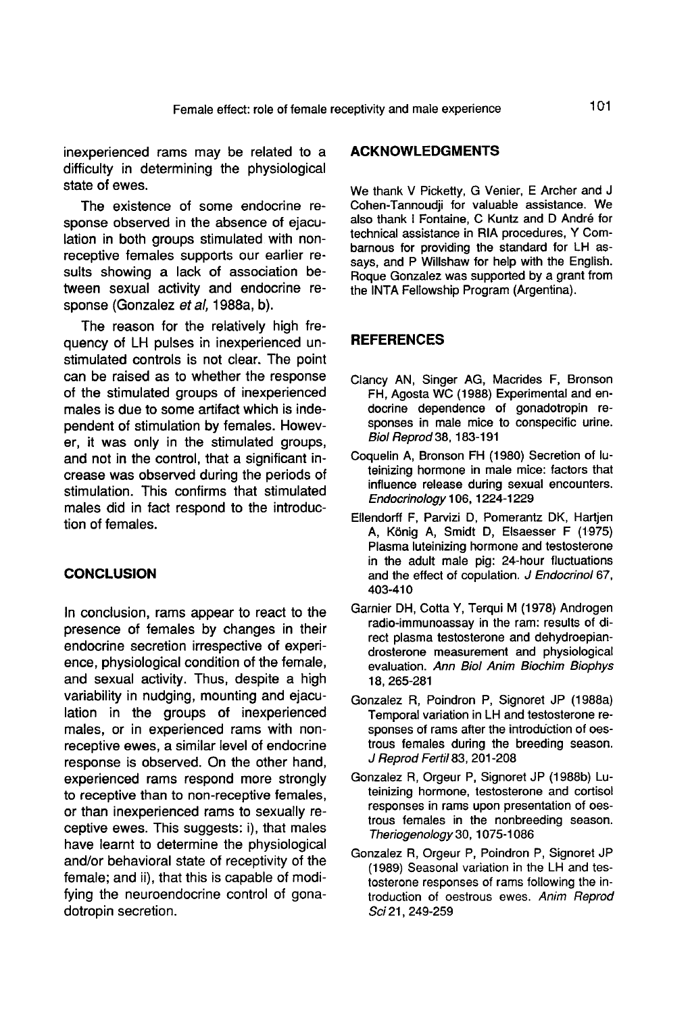inexperienced rams may be related to a difficulty in determining the physiological state of ewes.

The existence of some endocrine response observed in the absence of ejaculation in both groups stimulated with nonreceptive females supports our earlier results showing a lack of association between sexual activity and endocrine response (Gonzalez et al, 1988a, b).

The reason for the relatively high frequency of LH pulses in inexperienced unstimulated controls is not clear. The point can be raised as to whether the response of the stimulated groups of inexperienced males is due to some artifact which is independent of stimulation by females. However, it was only in the stimulated groups, and not in the control, that a significant increase was observed during the periods of stimulation. This confirms that stimulated males did in fact respond to the introduction of females.

## **CONCLUSION**

In conclusion, rams appear to react to the presence of females by changes in their endocrine secretion irrespective of experience, physiological condition of the female, and sexual activity. Thus, despite a high variability in nudging, mounting and ejaculation in the groups of inexperienced males, or in experienced rams with nonreceptive ewes, a similar level of endocrine response is observed. On the other hand, experienced rams respond more strongly to receptive than to non-receptive females, or than inexperienced rams to sexually receptive ewes. This suggests: i), that males have learnt to determine the physiological and/or behavioral state of receptivity of the female; and ii), that this is capable of modifying the neuroendocrine control of gonadotropin secretion.

# ACKNOWLEDGMENTS

We thank V Picketty, G Venier, E Archer and J Cohen-Tannoudji for valuable assistance. We also thank I Fontaine, C Kuntz and D André for technical assistance in RIA procedures, Y Combarnous for providing the standard for LH assays, and P Willshaw for help with the English. Roque Gonzalez was supported by a grant from the INTA Fellowship Program (Argentina).

## **REFERENCES**

- Clancy AN, Singer AG, Macrides F, Bronson FH, Agosta WC (1988) Experimental and endocrine dependence of gonadotropin responses in male mice to conspecific urine. Biol Reprod 38, 183-191
- Coquelin A, Bronson FH (1980) Secretion of luteinizing hormone in male mice: factors that influence release during sexual encounters. Endocrinology 106, 1224-1229
- Ellendorff F, Parvizi D, Pomerantz DK, Hartjen A, K6nig A, Smidt D, Elsaesser F (1975) Plasma luteinizing hormone and testosterone in the adult male pig: 24-hour fluctuations and the effect of copulation. J Endocrinol 67, 403-410
- Garnier DH, Cotta Y, Terqui M (1978) Androgen radio-immunoassay in the ram: results of direct plasma testosterone and dehydroepiandrosterone measurement and physiological evaluation. Ann Biol Anim Biochim Biophys 18,265-281
- Gonzalez R, Poindron P, Signoret JP (1988a) Temporal variation in LH and testosterone responses of rams after the introduction of oestrous females during the breeding season. J Reprod Fertil83, 201-208
- Gonzalez R, Orgeur P, Signoret JP (1988b) Luteinizing hormone, testosterone and cortisol responses in rams upon presentation of oestrous females in the nonbreeding season. Theriogenology 30, 1075-1086
- Gonzalez R, Orgeur P, Poindron P, Signoret JP (1989) Seasonal variation in the LH and testosterone responses of rams following the introduction of oestrous ewes. Anim Reprod Sci 21, 249-259